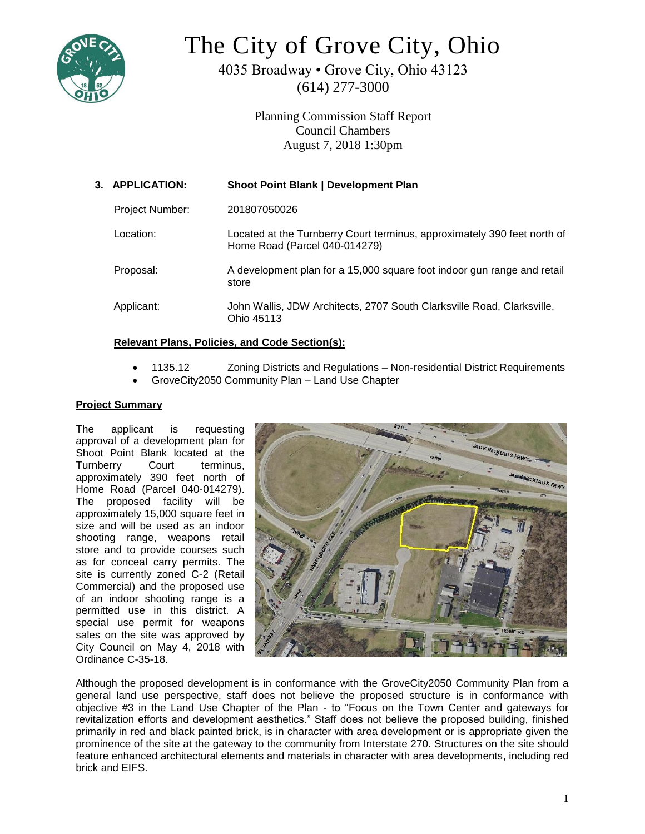

# The City of Grove City, Ohio

4035 Broadway • Grove City, Ohio 43123 (614) 277-3000

> Planning Commission Staff Report Council Chambers August 7, 2018 1:30pm

| 3. APPLICATION:        | <b>Shoot Point Blank   Development Plan</b>                                                               |
|------------------------|-----------------------------------------------------------------------------------------------------------|
| <b>Project Number:</b> | 201807050026                                                                                              |
| Location:              | Located at the Turnberry Court terminus, approximately 390 feet north of<br>Home Road (Parcel 040-014279) |
| Proposal:              | A development plan for a 15,000 square foot indoor gun range and retail<br>store                          |
| Applicant:             | John Wallis, JDW Architects, 2707 South Clarksville Road, Clarksville,<br>Ohio 45113                      |
|                        |                                                                                                           |

## **Relevant Plans, Policies, and Code Section(s):**

- 1135.12 Zoning Districts and Regulations Non-residential District Requirements
- GroveCity2050 Community Plan Land Use Chapter

## **Project Summary**

The applicant is requesting approval of a development plan for Shoot Point Blank located at the Turnberry Court terminus, approximately 390 feet north of Home Road (Parcel 040-014279). The proposed facility will be approximately 15,000 square feet in size and will be used as an indoor shooting range, weapons retail store and to provide courses such as for conceal carry permits. The site is currently zoned C-2 (Retail Commercial) and the proposed use of an indoor shooting range is a permitted use in this district. A special use permit for weapons sales on the site was approved by City Council on May 4, 2018 with Ordinance C-35-18.



Although the proposed development is in conformance with the GroveCity2050 Community Plan from a general land use perspective, staff does not believe the proposed structure is in conformance with objective #3 in the Land Use Chapter of the Plan - to "Focus on the Town Center and gateways for revitalization efforts and development aesthetics." Staff does not believe the proposed building, finished primarily in red and black painted brick, is in character with area development or is appropriate given the prominence of the site at the gateway to the community from Interstate 270. Structures on the site should feature enhanced architectural elements and materials in character with area developments, including red brick and EIFS.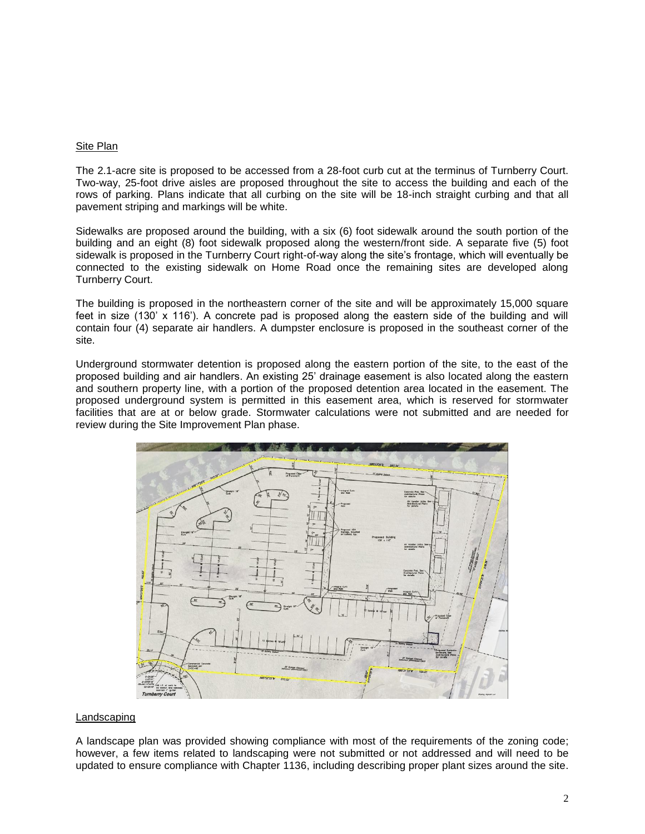#### Site Plan

The 2.1-acre site is proposed to be accessed from a 28-foot curb cut at the terminus of Turnberry Court. Two-way, 25-foot drive aisles are proposed throughout the site to access the building and each of the rows of parking. Plans indicate that all curbing on the site will be 18-inch straight curbing and that all pavement striping and markings will be white.

Sidewalks are proposed around the building, with a six (6) foot sidewalk around the south portion of the building and an eight (8) foot sidewalk proposed along the western/front side. A separate five (5) foot sidewalk is proposed in the Turnberry Court right-of-way along the site's frontage, which will eventually be connected to the existing sidewalk on Home Road once the remaining sites are developed along Turnberry Court.

The building is proposed in the northeastern corner of the site and will be approximately 15,000 square feet in size (130' x 116'). A concrete pad is proposed along the eastern side of the building and will contain four (4) separate air handlers. A dumpster enclosure is proposed in the southeast corner of the site.

Underground stormwater detention is proposed along the eastern portion of the site, to the east of the proposed building and air handlers. An existing 25' drainage easement is also located along the eastern and southern property line, with a portion of the proposed detention area located in the easement. The proposed underground system is permitted in this easement area, which is reserved for stormwater facilities that are at or below grade. Stormwater calculations were not submitted and are needed for review during the Site Improvement Plan phase.



### Landscaping

A landscape plan was provided showing compliance with most of the requirements of the zoning code; however, a few items related to landscaping were not submitted or not addressed and will need to be updated to ensure compliance with Chapter 1136, including describing proper plant sizes around the site.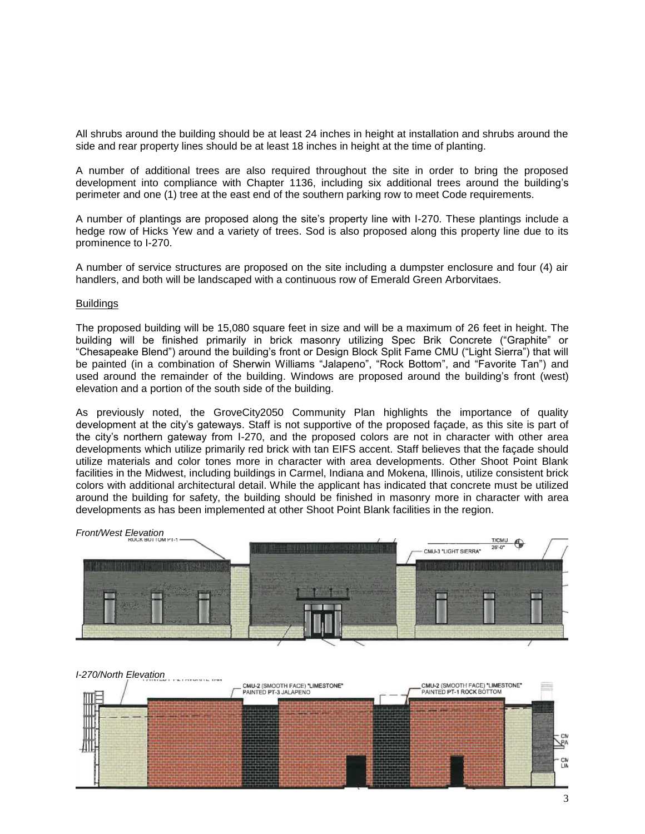All shrubs around the building should be at least 24 inches in height at installation and shrubs around the side and rear property lines should be at least 18 inches in height at the time of planting.

A number of additional trees are also required throughout the site in order to bring the proposed development into compliance with Chapter 1136, including six additional trees around the building's perimeter and one (1) tree at the east end of the southern parking row to meet Code requirements.

A number of plantings are proposed along the site's property line with I-270. These plantings include a hedge row of Hicks Yew and a variety of trees. Sod is also proposed along this property line due to its prominence to I-270.

A number of service structures are proposed on the site including a dumpster enclosure and four (4) air handlers, and both will be landscaped with a continuous row of Emerald Green Arborvitaes.

#### Buildings

The proposed building will be 15,080 square feet in size and will be a maximum of 26 feet in height. The building will be finished primarily in brick masonry utilizing Spec Brik Concrete ("Graphite" or "Chesapeake Blend") around the building's front or Design Block Split Fame CMU ("Light Sierra") that will be painted (in a combination of Sherwin Williams "Jalapeno", "Rock Bottom", and "Favorite Tan") and used around the remainder of the building. Windows are proposed around the building's front (west) elevation and a portion of the south side of the building.

As previously noted, the GroveCity2050 Community Plan highlights the importance of quality development at the city's gateways. Staff is not supportive of the proposed façade, as this site is part of the city's northern gateway from I-270, and the proposed colors are not in character with other area developments which utilize primarily red brick with tan EIFS accent. Staff believes that the façade should utilize materials and color tones more in character with area developments. Other Shoot Point Blank facilities in the Midwest, including buildings in Carmel, Indiana and Mokena, Illinois, utilize consistent brick colors with additional architectural detail. While the applicant has indicated that concrete must be utilized around the building for safety, the building should be finished in masonry more in character with area developments as has been implemented at other Shoot Point Blank facilities in the region.



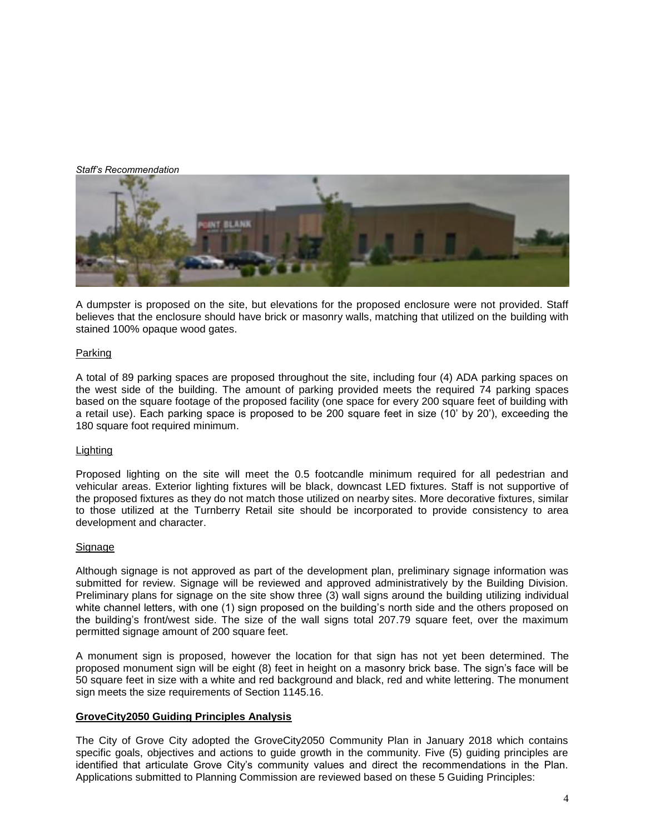*Staff's Recommendation*



A dumpster is proposed on the site, but elevations for the proposed enclosure were not provided. Staff believes that the enclosure should have brick or masonry walls, matching that utilized on the building with stained 100% opaque wood gates.

### Parking

A total of 89 parking spaces are proposed throughout the site, including four (4) ADA parking spaces on the west side of the building. The amount of parking provided meets the required 74 parking spaces based on the square footage of the proposed facility (one space for every 200 square feet of building with a retail use). Each parking space is proposed to be 200 square feet in size (10' by 20'), exceeding the 180 square foot required minimum.

### Lighting

Proposed lighting on the site will meet the 0.5 footcandle minimum required for all pedestrian and vehicular areas. Exterior lighting fixtures will be black, downcast LED fixtures. Staff is not supportive of the proposed fixtures as they do not match those utilized on nearby sites. More decorative fixtures, similar to those utilized at the Turnberry Retail site should be incorporated to provide consistency to area development and character.

### Signage

Although signage is not approved as part of the development plan, preliminary signage information was submitted for review. Signage will be reviewed and approved administratively by the Building Division. Preliminary plans for signage on the site show three (3) wall signs around the building utilizing individual white channel letters, with one (1) sign proposed on the building's north side and the others proposed on the building's front/west side. The size of the wall signs total 207.79 square feet, over the maximum permitted signage amount of 200 square feet.

A monument sign is proposed, however the location for that sign has not yet been determined. The proposed monument sign will be eight (8) feet in height on a masonry brick base. The sign's face will be 50 square feet in size with a white and red background and black, red and white lettering. The monument sign meets the size requirements of Section 1145.16.

### **GroveCity2050 Guiding Principles Analysis**

The City of Grove City adopted the GroveCity2050 Community Plan in January 2018 which contains specific goals, objectives and actions to guide growth in the community. Five (5) guiding principles are identified that articulate Grove City's community values and direct the recommendations in the Plan. Applications submitted to Planning Commission are reviewed based on these 5 Guiding Principles: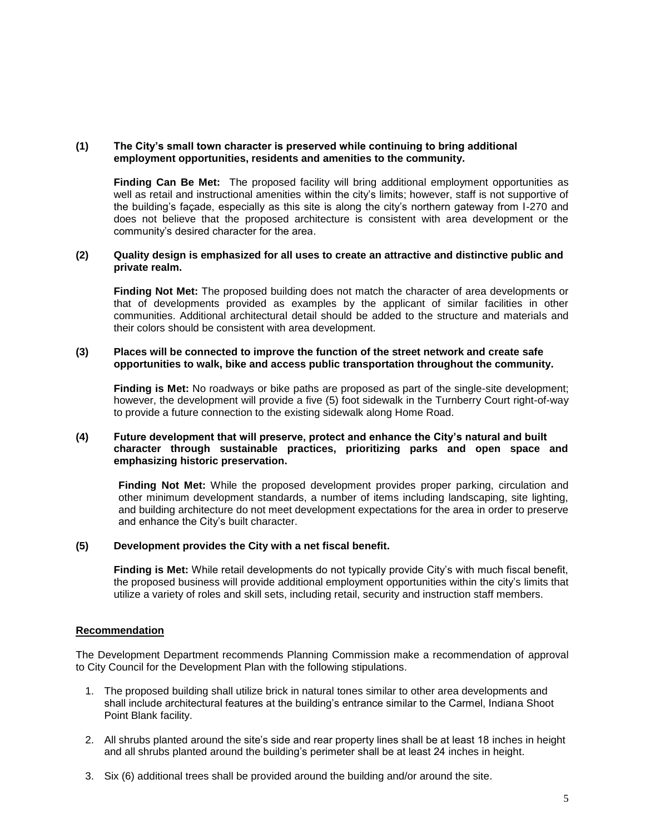### **(1) The City's small town character is preserved while continuing to bring additional employment opportunities, residents and amenities to the community.**

**Finding Can Be Met:** The proposed facility will bring additional employment opportunities as well as retail and instructional amenities within the city's limits; however, staff is not supportive of the building's façade, especially as this site is along the city's northern gateway from I-270 and does not believe that the proposed architecture is consistent with area development or the community's desired character for the area.

#### **(2) Quality design is emphasized for all uses to create an attractive and distinctive public and private realm.**

**Finding Not Met:** The proposed building does not match the character of area developments or that of developments provided as examples by the applicant of similar facilities in other communities. Additional architectural detail should be added to the structure and materials and their colors should be consistent with area development.

### **(3) Places will be connected to improve the function of the street network and create safe opportunities to walk, bike and access public transportation throughout the community.**

**Finding is Met:** No roadways or bike paths are proposed as part of the single-site development; however, the development will provide a five (5) foot sidewalk in the Turnberry Court right-of-way to provide a future connection to the existing sidewalk along Home Road.

### **(4) Future development that will preserve, protect and enhance the City's natural and built character through sustainable practices, prioritizing parks and open space and emphasizing historic preservation.**

**Finding Not Met:** While the proposed development provides proper parking, circulation and other minimum development standards, a number of items including landscaping, site lighting, and building architecture do not meet development expectations for the area in order to preserve and enhance the City's built character.

### **(5) Development provides the City with a net fiscal benefit.**

**Finding is Met:** While retail developments do not typically provide City's with much fiscal benefit, the proposed business will provide additional employment opportunities within the city's limits that utilize a variety of roles and skill sets, including retail, security and instruction staff members.

### **Recommendation**

The Development Department recommends Planning Commission make a recommendation of approval to City Council for the Development Plan with the following stipulations.

- 1. The proposed building shall utilize brick in natural tones similar to other area developments and shall include architectural features at the building's entrance similar to the Carmel, Indiana Shoot Point Blank facility.
- 2. All shrubs planted around the site's side and rear property lines shall be at least 18 inches in height and all shrubs planted around the building's perimeter shall be at least 24 inches in height.
- 3. Six (6) additional trees shall be provided around the building and/or around the site.